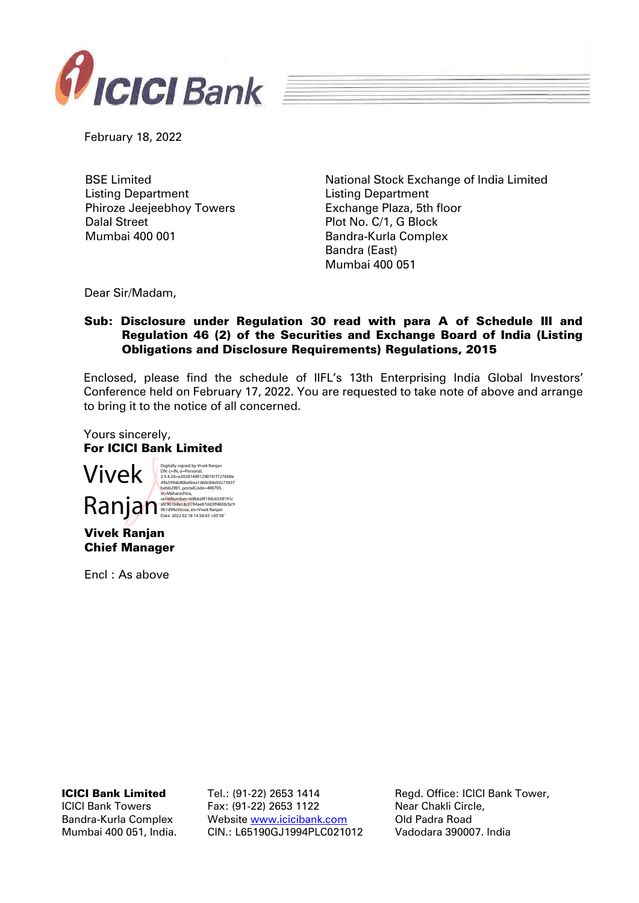

February 18, 2022

BSE Limited Listing Department Phiroze Jeejeebhoy Towers Dalal Street Mumbai 400 001

National Stock Exchange of India Limited Listing Department Exchange Plaza, 5th floor Plot No. C/1, G Block Bandra-Kurla Complex Bandra (East) Mumbai 400 051

Dear Sir/Madam,

## Sub: Disclosure under Regulation 30 read with para A of Schedule III and Regulation 46 (2) of the Securities and Exchange Board of India (Listing Obligations and Disclosure Requirements) Regulations, 2015

Enclosed, please find the schedule of IIFL's 13th Enterprising India Global Investors' Conference held on February 17, 2022. You are requested to take note of above and arrange to bring it to the notice of all concerned.

Yours sincerely, For ICICI Bank Limited



Encl : As above

ICICI Bank Limited

ICICI Bank Towers Bandra-Kurla Complex Mumbai 400 051, India. Tel.: (91-22) 2653 1414 Fax: (91-22) 2653 1122 Website [www.icicibank.com](http://www.icicibank.com/) CIN.: L65190GJ1994PLC021012

Regd. Office: ICICI Bank Tower, Near Chakli Circle, Old Padra Road Vadodara 390007. India